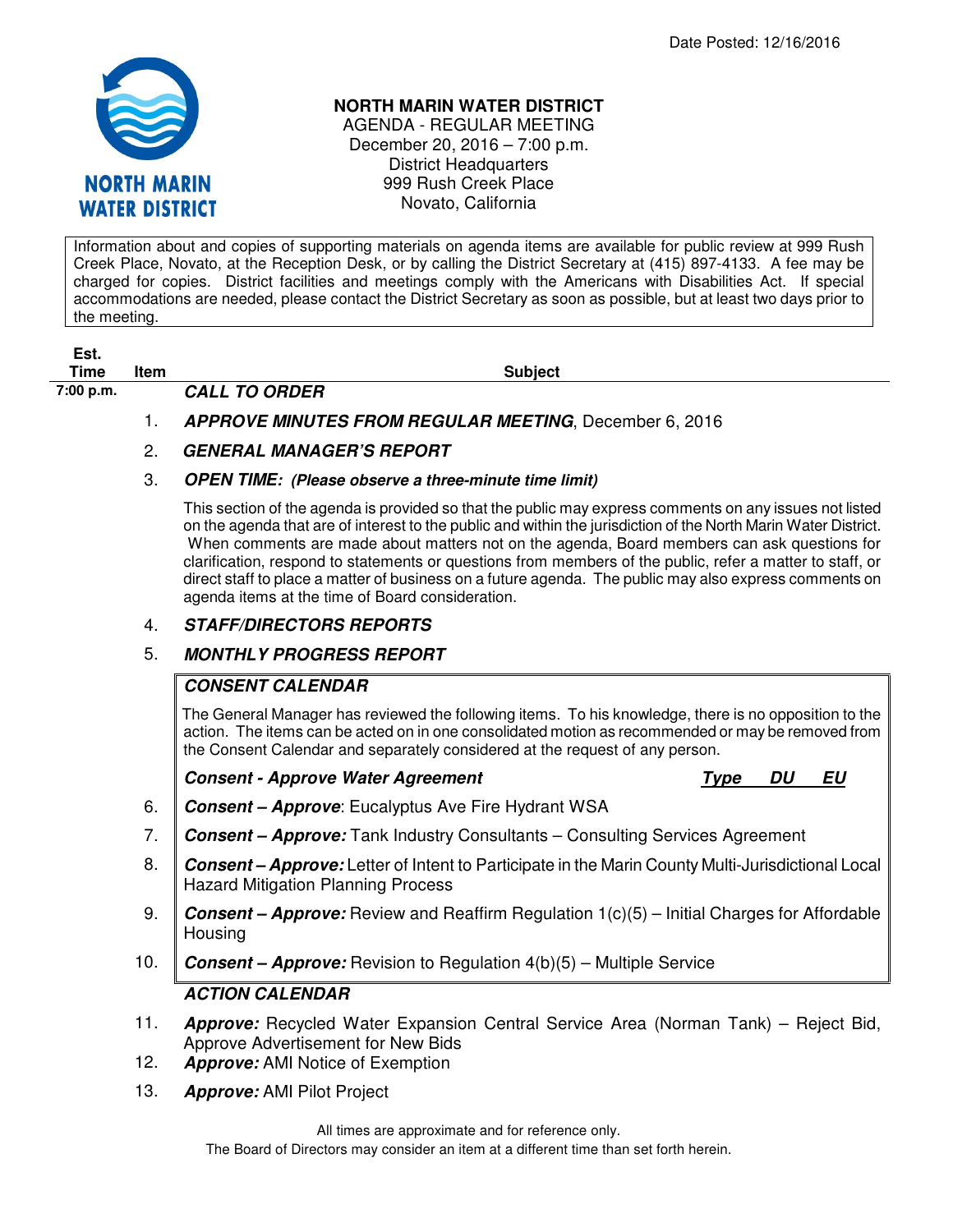

#### **NORTH MARIN WATER DISTRICT**

AGENDA - REGULAR MEETING December 20, 2016 – 7:00 p.m. District Headquarters 999 Rush Creek Place Novato, California

Information about and copies of supporting materials on agenda items are available for public review at 999 Rush Creek Place, Novato, at the Reception Desk, or by calling the District Secretary at (415) 897-4133. A fee may be charged for copies. District facilities and meetings comply with the Americans with Disabilities Act. If special accommodations are needed, please contact the District Secretary as soon as possible, but at least two days prior to the meeting.

**Est. Time Item Subject Subject** 

# **7:00 p.m. CALL TO ORDER**

### 1. **APPROVE MINUTES FROM REGULAR MEETING**, December 6, 2016

## 2. **GENERAL MANAGER'S REPORT**

#### 3. **OPEN TIME: (Please observe a three-minute time limit)**

This section of the agenda is provided so that the public may express comments on any issues not listed on the agenda that are of interest to the public and within the jurisdiction of the North Marin Water District. When comments are made about matters not on the agenda, Board members can ask questions for clarification, respond to statements or questions from members of the public, refer a matter to staff, or direct staff to place a matter of business on a future agenda. The public may also express comments on agenda items at the time of Board consideration.

### 4. **STAFF/DIRECTORS REPORTS**

### 5. **MONTHLY PROGRESS REPORT**

### **CONSENT CALENDAR**

The General Manager has reviewed the following items. To his knowledge, there is no opposition to the action. The items can be acted on in one consolidated motion as recommended or may be removed from the Consent Calendar and separately considered at the request of any person.

### **Consent - Approve Water Agreement** Type DU EU

- 6. **Consent Approve**: Eucalyptus Ave Fire Hydrant WSA
- 7. **Consent Approve:** Tank Industry Consultants Consulting Services Agreement
- 8. **Consent Approve:** Letter of Intent to Participate in the Marin County Multi-Jurisdictional Local Hazard Mitigation Planning Process
- 9. **Consent Approve:** Review and Reaffirm Regulation 1(c)(5) Initial Charges for Affordable **Housing**
- 10. **Consent Approve:** Revision to Regulation 4(b)(5) Multiple Service

## **ACTION CALENDAR**

- 11. **Approve:** Recycled Water Expansion Central Service Area (Norman Tank) Reject Bid, Approve Advertisement for New Bids
- 12. **Approve:** AMI Notice of Exemption
- 13. **Approve:** AMI Pilot Project

All times are approximate and for reference only.

The Board of Directors may consider an item at a different time than set forth herein.